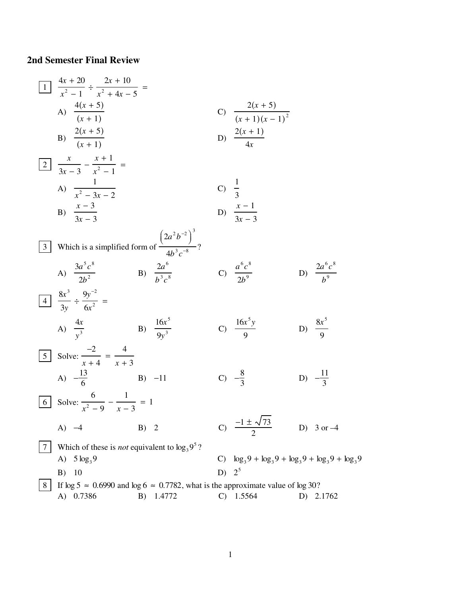## **2nd Semester Final Review**

1 
$$
\frac{4x + 20}{x^2 - 1} \div \frac{2x + 10}{x^2 + 4x - 5} =
$$
  
\nA)  $\frac{4(x + 5)}{(x + 1)}$   
\nB)  $\frac{2(x + 5)}{(x + 1)}$   
\nC)  $\frac{2(x + 5)}{(x + 1)(x - 1)^2}$   
\nD)  $\frac{2(x + 1)}{4x}$   
\n3  $\frac{x - 3}{3x - 3} - \frac{x^2 - 1}{x^2 - 1} =$   
\nA)  $\frac{1}{x^2 - 3x - 2}$   
\nB)  $\frac{x - 3}{3x - 3}$   
\nC)  $\frac{1}{3}$   
\nD)  $\frac{x - 1}{3x - 3}$   
\n3  $\frac{3a^5c^8}{2b^2}$   
\n4)  $\frac{3a^5c^8}{2b^2}$   
\n5  $\frac{3}{3}$  Which is a simplified form of  $\frac{(2a^2b^{-2})^3}{4b^3c^8}$   
\n6  $\frac{a^6c^8}{2b^9}$   
\n7  $\frac{a^6c^8}{2b^9}$   
\n8  $\frac{4x}{y^3} \div \frac{9y^{-2}}{6x^2} =$   
\n9  $\frac{4x}{9y^3}$   
\n10  $\frac{4x}{9y^3}$   
\n11  $\frac{16x^5}{5}$   
\n12  $\frac{11}{3}$   
\n23  $\frac{11}{3}$   
\n34  $\frac{-13}{6}$   
\n45  $\frac{-2}{x + 4} = \frac{4}{x + 3}$   
\n47  $\frac{-13}{6}$   
\n5  $\frac{1}{3}$  Solve:  $\frac{-2}{x^2 - 9} - \frac{1}{x - 3} = 1$   
\n6  $\frac{1}{3}$  Solve:  $\frac{6}{x^2 - 9} - \frac{1}{x - 3} = 1$   
\n7  $\frac{1}{3}$  Which of these is *not* equivalent to  $\log_3 9^5$ ?  
\n8  $\frac{1}{3}$  Use  $\$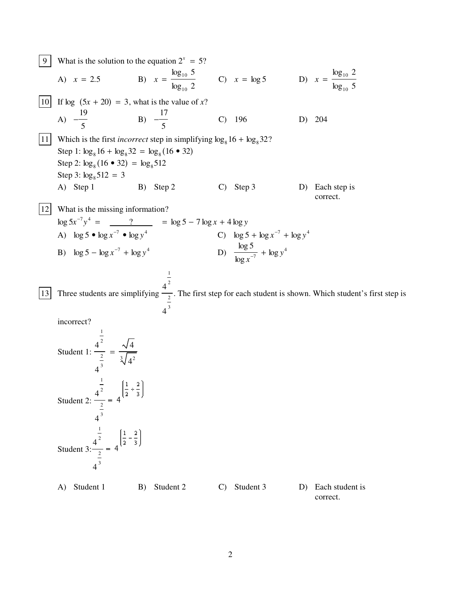9 What is the solution to the equation 
$$
2^x = 5
$$
?  
\nA)  $x = 2.5$  B)  $x = \frac{\log_{10} 5}{\log_{10} 2}$  C)  $x = \log 5$  D)  $x = \frac{\log_{10} 2}{\log_{10} 5}$   
\n10 If  $\log (5x + 20) = 3$ , what is the value of x?  
\nA)  $-\frac{19}{5}$  B)  $-\frac{17}{5}$  C) 196 D) 204  
\n111 Which is the first *incorrect* step in simplifying  $\log_8 16 + \log_8 32$ ?  
\nStep 1:  $\log_8 16 + \log_8 32 = \log_8 116 + 32$   
\nStep 2:  $\log_8 (16 \cdot 32) = \log_8 512$   
\nStep 3:  $\log_8 512 = 3$   
\nA) Step 1 B) Step 2 C) Step 3 D) Each step is correct.  
\n122 What is the missing information?  
\nlog  $5x^{-7}y^4 = \frac{7}{2} = \log 5 - 7 \log x + 4 \log y$   
\nA)  $\log 5 - \log x^{-7} + \log y^4$  C)  $\log 5 + \log x^{-7} + \log y^4$   
\nB)  $\log 5 - \log x^{-7} + \log y^4$  D)  $\frac{\log 5}{\log x^{-7}} + \log y^4$   
\n133 Three students are simplifying  $\frac{1}{2}$ . The first step for each student is shown. Which student's first step is incorrect?  
\n  
\nStudent 1:  $\frac{1}{2} = \frac{\sqrt{4}}{4^3}$   
\n  
\nStudent 2:  $\frac{1}{2} = 4\left[\frac{1}{4} + \frac{2}{3}\right]$   
\n  
\nStudent 3:  $\frac{1}{2} = 4\left[\frac{1}{2} + \frac{2}{3}\right]$   
\n  
\nStudent 3:  $\frac{1}{2} = 4\left[\frac{1}{2} - \frac{2}{3}\right]$ 

A) Student 1 B) Student 2 C) Student 3 D) Each student is correct.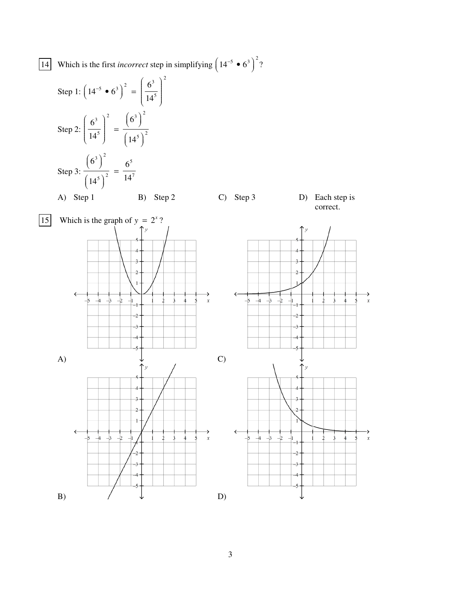14 Which is the first *incorrect* step in simplifying  $(14^{-5} \cdot 6^3)$  $(14^{-5} \cdot 6^3)$  $\big)^2$ ?

Step 1:  $(14^{-5} \cdot 6^3)$  $(14^{-5} \cdot 6^3)$  $\Big)^2 = \Bigg(\frac{6^3}{14}\Bigg)$  $14<sup>5</sup>$ Ê  $\overline{\mathcal{L}}$ ÁÁÁÁÁÁÁÁÁ ˆ  $\big)$  $\begin{bmatrix} \frac{1}{\sqrt{2}} & \frac{1}{\sqrt{2}} \\ \frac{1}{\sqrt{2}} & \frac{1}{\sqrt{2}} \end{bmatrix}$ 2 Step 2: 6 3  $14<sup>5</sup>$ Ê  $\overline{\mathcal{L}}$ ÁÁÁÁÁÁÁÁÁ ˆ  $\overline{y}$  $\begin{array}{c} \hline \end{array}$ 2 =  $6^3$  $\left(6^3\right)$  $\bigg)^2$  $\left(14^5\right)$  $\bigg)^2$ Step 3:  $6^3$  $\left(6^3\right)$  $\bigg)^2$  $\left(14^5\right)$  $\frac{6^5}{14^5}$  $14<sup>7</sup>$ A) Step 1 B) Step 2 C) Step 3 D) Each step is





3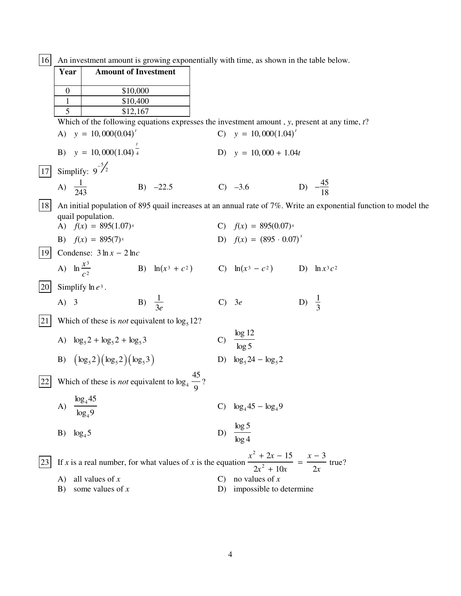$\boxed{16}$  An investment amount is growing exponentially with time, as shown in the table below.

|                 | Year             | <b>Amount of Investment</b>                                        |                   |  |                |                                                                                                                         |                  |                     |  |
|-----------------|------------------|--------------------------------------------------------------------|-------------------|--|----------------|-------------------------------------------------------------------------------------------------------------------------|------------------|---------------------|--|
|                 |                  |                                                                    |                   |  |                |                                                                                                                         |                  |                     |  |
|                 | $\boldsymbol{0}$ |                                                                    | \$10,000          |  |                |                                                                                                                         |                  |                     |  |
|                 | $\mathbf{1}$     |                                                                    | \$10,400          |  |                |                                                                                                                         |                  |                     |  |
|                 | 5                |                                                                    | \$12,167          |  |                |                                                                                                                         |                  |                     |  |
|                 |                  |                                                                    |                   |  |                | Which of the following equations expresses the investment amount, $y$ , present at any time, $t$ ?                      |                  |                     |  |
|                 |                  | A) $y = 10,000(0.04)^T$                                            |                   |  |                | C) $y = 10,000(1.04)^t$                                                                                                 |                  |                     |  |
|                 |                  | B) $y = 10,000(1.04)^{\frac{1}{4}}$                                |                   |  |                | D) $y = 10,000 + 1.04t$                                                                                                 |                  |                     |  |
| $\overline{17}$ |                  | Simplify: $9^{-5/2}$                                               |                   |  |                |                                                                                                                         |                  |                     |  |
|                 |                  | A) $\frac{1}{243}$                                                 | $B) -22.5$        |  |                | $C) -3.6$                                                                                                               |                  | D) $-\frac{45}{18}$ |  |
| 18              |                  | quail population.                                                  |                   |  |                | An initial population of 895 quail increases at an annual rate of 7%. Write an exponential function to model the        |                  |                     |  |
|                 |                  | A) $f(x) = 895(1.07)^x$                                            |                   |  |                | C) $f(x) = 895(0.07)^x$                                                                                                 |                  |                     |  |
|                 |                  | B) $f(x) = 895(7)^x$                                               |                   |  |                | D) $f(x) = (895 \cdot 0.07)^{x}$                                                                                        |                  |                     |  |
| <sup>19</sup>   |                  | Condense: $3 \ln x - 2 \ln c$                                      |                   |  |                |                                                                                                                         |                  |                     |  |
|                 |                  | A) $\ln \frac{x^3}{c^2}$                                           |                   |  |                | B) $\ln(x^3 + c^2)$ C) $\ln(x^3 - c^2)$ D) $\ln x^3 c^2$                                                                |                  |                     |  |
| 20              |                  | Simplify $\ln e^3$ .                                               |                   |  |                |                                                                                                                         |                  |                     |  |
|                 | $(A)$ 3          |                                                                    | B) $\frac{1}{3e}$ |  | $\mathbf{C}$   | 3e                                                                                                                      | D) $\frac{1}{3}$ |                     |  |
| 21              |                  | Which of these is <i>not</i> equivalent to $\log_5 12$ ?           |                   |  |                |                                                                                                                         |                  |                     |  |
|                 |                  | A) $\log_5 2 + \log_5 2 + \log_5 3$                                |                   |  | $\mathbf{C}$   | $\frac{\log 12}{\log 5}$                                                                                                |                  |                     |  |
|                 |                  | B) $(\log_5 2)(\log_5 2)(\log_5 3)$                                |                   |  |                | D) $\log_5 24 - \log_5 2$                                                                                               |                  |                     |  |
| 22              |                  | Which of these is <i>not</i> equivalent to $\log_4 \frac{45}{9}$ ? |                   |  |                |                                                                                                                         |                  |                     |  |
|                 | A)               | $\frac{\log_4 45}{\log_4 45}$<br>log <sub>4</sub> 9                |                   |  |                | C) $\log_4 45 - \log_4 9$                                                                                               |                  |                     |  |
|                 | B)               | $\log_4 5$                                                         |                   |  |                | D) $\frac{\log 5}{\log 4}$                                                                                              |                  |                     |  |
| 23              |                  |                                                                    |                   |  |                | If x is a real number, for what values of x is the equation $\frac{x^2 + 2x - 15}{2x^2 + 10x} = \frac{x - 3}{2x}$ true? |                  |                     |  |
|                 | A)               | all values of $x$                                                  |                   |  | $\mathbf{C}$ ) | no values of $x$                                                                                                        |                  |                     |  |

B) some values of  $x$ D) impossible to determine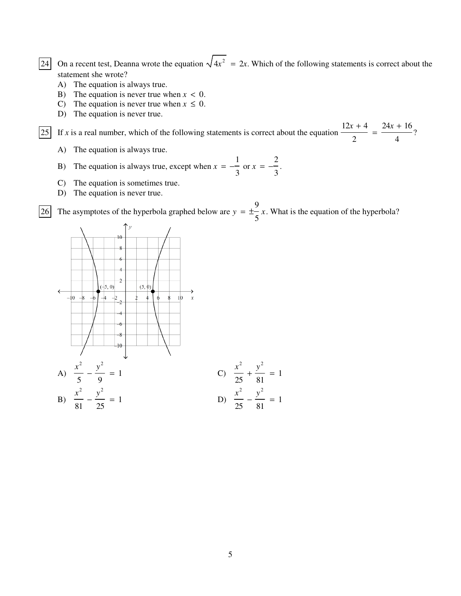24 On a recent test, Deanna wrote the equation  $\sqrt{4x^2} = 2x$ . Which of the following statements is correct about the statement she wrote?

- A) The equation is always true.
- B) The equation is never true when  $x < 0$ .
- C) The equation is never true when  $x \leq 0$ .
- D) The equation is never true.

25 If  $\bar{x}$  is a real number, which of the following statements is correct about the equation  $12x + 4$ 2  $=\frac{24x+16}{x}$ 4 ?

- A) The equation is always true.
- B) The equation is always true, except when  $x = -\frac{1}{x}$ 3 or  $x = -\frac{2}{3}$ 3 .
- C) The equation is sometimes true.
- D) The equation is never true.

26 The asymptotes of the hyperbola graphed below are  $y = \pm \frac{9}{5}$ 5 *x*. What is the equation of the hyperbola?

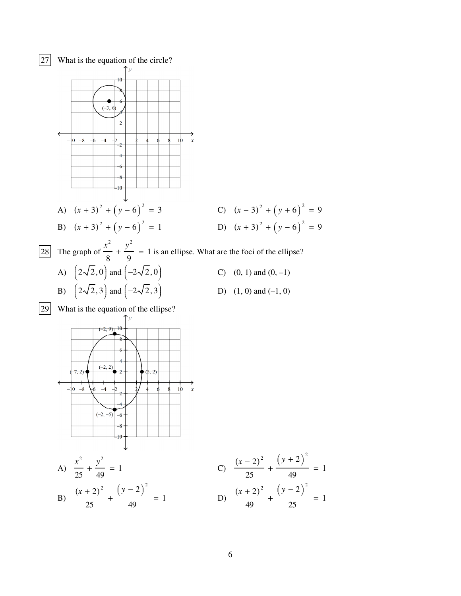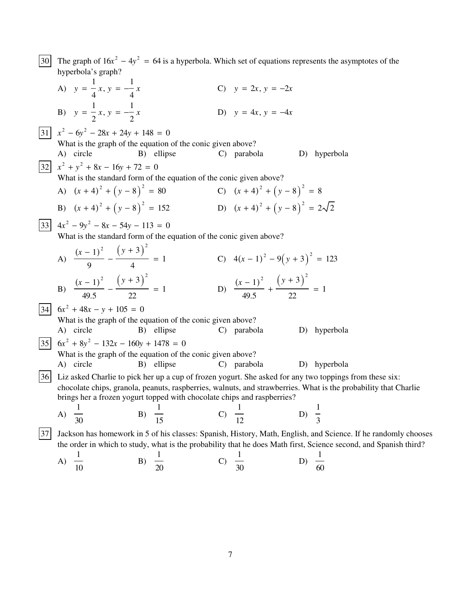The graph of  $16x^2 - 4y^2 = 64$  is a hyperbola. Which set of equations represents the asymptotes of the  $30<sup>1</sup>$ hyperbola's graph? A)  $y = \frac{1}{4}x, y = -\frac{1}{4}x$ C)  $y = 2x, y = -2x$ B)  $y = \frac{1}{2}x, y = -\frac{1}{2}x$ D)  $y = 4x, y = -4x$  $|31|$   $x^2 - 6y^2 - 28x + 24y + 148 = 0$ What is the graph of the equation of the conic given above? A) circle B) ellipse C) parabola D) hyperbola  $\begin{array}{|c|c|c|c|c|}\n\hline\n32 & x^2 + y^2 + 8x - 16y + 72 = 0\n\end{array}$ What is the standard form of the equation of the conic given above? A)  $(x+4)^2 + (y-8)^2 = 80$ C)  $(x+4)^2 + (y-8)^2 = 8$ B)  $(x+4)^2 + (y-8)^2 = 152$ D)  $(x+4)^2 + (y-8)^2 = 2\sqrt{2}$  $\begin{bmatrix} 33 \\ 4x^2 - 9y^2 - 8x - 54y - 113 = 0 \end{bmatrix}$ What is the standard form of the equation of the conic given above? A)  $\frac{(x-1)^2}{2} - \frac{(y+3)^2}{4} = 1$ C)  $4(x-1)^2 - 9(y+3)^2 = 123$ D)  $\frac{(x-1)^2}{40.5} + \frac{(y+3)^2}{20} = 1$ B)  $\frac{(x-1)^2}{40.5} - \frac{(y+3)^2}{20} = 1$  $|34|$  6x<sup>2</sup> + 48x – y + 105 = 0 What is the graph of the equation of the conic given above? A) circle B) ellipse C) parabola D) hyperbola  $|35|$   $6x^2 + 8y^2 - 132x - 160y + 1478 = 0$ What is the graph of the equation of the conic given above? B) ellipse A) circle C) parabola D) hyperbola [36] Liz asked Charlie to pick her up a cup of frozen yogurt. She asked for any two toppings from these six: chocolate chips, granola, peanuts, raspberries, walnuts, and strawberries. What is the probability that Charlie brings her a frozen yogurt topped with chocolate chips and raspberries? B)  $\frac{1}{15}$ C)  $\frac{1}{12}$ D)  $\frac{1}{3}$ A)  $\frac{1}{30}$  $|37|$ Jackson has homework in 5 of his classes: Spanish, History, Math, English, and Science. If he randomly chooses the order in which to study, what is the probability that he does Math first, Science second, and Spanish third?

A) 
$$
\frac{1}{10}
$$
 \t\t B)  $\frac{1}{20}$  \t\t C)  $\frac{1}{30}$  \t\t D)  $\frac{1}{60}$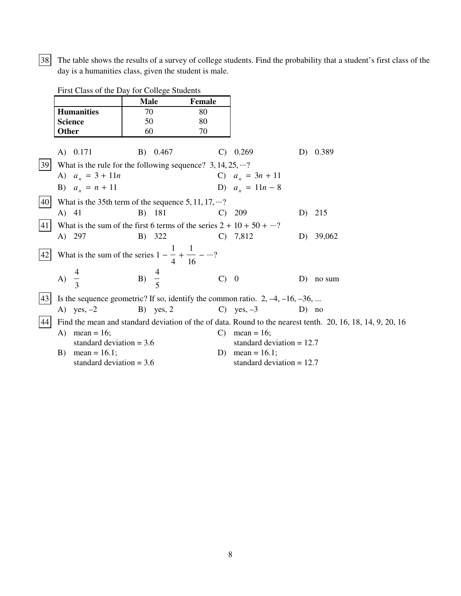38 The table shows the results of a survey of college students. Find the probability that a student's first class of the day is a humanities class, given the student is male.

First Class of the Day for College Students

|           |                                                                                  | <b>Male</b>      | Female       |                             |         |                                                                                                            |
|-----------|----------------------------------------------------------------------------------|------------------|--------------|-----------------------------|---------|------------------------------------------------------------------------------------------------------------|
|           | <b>Humanities</b>                                                                | 70               | 80           |                             |         |                                                                                                            |
|           | <b>Science</b>                                                                   | 50               | 80           |                             |         |                                                                                                            |
|           | <b>Other</b>                                                                     | 60               | 70           |                             |         |                                                                                                            |
|           | A) 0.171                                                                         | B) 0.467         | C)           | 0.269                       | D)      | 0.389                                                                                                      |
| 39        | What is the rule for the following sequence? $3, 14, 25, \dots$ ?                |                  |              |                             |         |                                                                                                            |
|           | A) $a_n = 3 + 11n$                                                               |                  |              | C) $a_n = 3n + 11$          |         |                                                                                                            |
|           | B) $a_n = n + 11$                                                                |                  |              | D) $a_n = 11n - 8$          |         |                                                                                                            |
| 40        | What is the 35th term of the sequence 5, 11, 17, $\cdots$ ?                      |                  |              |                             |         |                                                                                                            |
|           | A) 41                                                                            | B) 181           | $\mathbf{C}$ | 209                         | D)      | 215                                                                                                        |
| 41        | What is the sum of the first 6 terms of the series $2 + 10 + 50 + \cdots$ ?      |                  |              |                             |         |                                                                                                            |
|           | A) 297                                                                           | B) 322           |              | $C)$ 7,812                  | D       | 39,062                                                                                                     |
| $42\vert$ | What is the sum of the series $1 - \frac{1}{4} + \frac{1}{16} - \cdots$ ?        |                  |              |                             |         |                                                                                                            |
|           | A) $\overline{3}$                                                                | B) $\frac{4}{5}$ | $C$ ) 0      |                             | D)      | no sum                                                                                                     |
| 43        | Is the sequence geometric? If so, identify the common ratio. $2, -4, -16, -36, $ |                  |              |                             |         |                                                                                                            |
|           | A) yes, $-2$                                                                     | $B)$ yes, 2      |              | C) yes, $-3$                | $D)$ no |                                                                                                            |
| 44        |                                                                                  |                  |              |                             |         | Find the mean and standard deviation of the of data. Round to the nearest tenth. 20, 16, 18, 14, 9, 20, 16 |
|           | A) mean = $16$ ;                                                                 |                  | $\mathbf{C}$ | mean = $16$ ;               |         |                                                                                                            |
|           | standard deviation $= 3.6$                                                       |                  |              | standard deviation $= 12.7$ |         |                                                                                                            |
|           | mean = $16.1$ ;<br>B)                                                            |                  | D)           | mean = $16.1$ ;             |         |                                                                                                            |
|           | standard deviation $= 3.6$                                                       |                  |              | standard deviation $= 12.7$ |         |                                                                                                            |

 $\,8\,$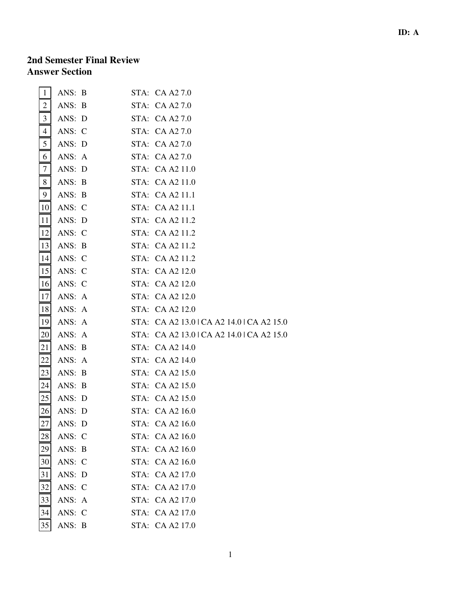## **2nd Semester Final Review Answer Section**

| $\mathbf{1}$    | ANS: B |  | STA: CA A2 7.0                            |
|-----------------|--------|--|-------------------------------------------|
| 2               | ANS: B |  | STA: CA A2 7.0                            |
| 3               | ANS: D |  | STA: CA A2 7.0                            |
| 4               | ANS: C |  | STA: CA A2 7.0                            |
| 5               | ANS: D |  | STA: CA A2 7.0                            |
| 6               | ANS: A |  | STA: CA A2 7.0                            |
| $\tau$          | ANS: D |  | STA: CA A2 11.0                           |
| 8               | ANS: B |  | STA: CA A2 11.0                           |
| 9               | ANS: B |  | STA: CA A2 11.1                           |
| 10 <sup>1</sup> | ANS: C |  | STA: CA A2 11.1                           |
| 11              | ANS: D |  | STA: CA A2 11.2                           |
| 12              | ANS: C |  | STA: CA A2 11.2                           |
| 13              | ANS: B |  | STA: CA A2 11.2                           |
| 14              | ANS: C |  | STA: CA A2 11.2                           |
| 15              | ANS: C |  | STA: CA A2 12.0                           |
| 16              | ANS: C |  | STA: CA A2 12.0                           |
| <b>17</b>       | ANS: A |  | STA: CA A2 12.0                           |
| <sup>18</sup>   | ANS: A |  | STA: CA A2 12.0                           |
| 19              | ANS: A |  | STA: CA A2 13.0   CA A2 14.0   CA A2 15.0 |
| 20              | ANS: A |  | STA: CA A2 13.0   CA A2 14.0   CA A2 15.0 |
| 21              | ANS: B |  | STA: CA A2 14.0                           |
| 22              | ANS: A |  | STA: CA A2 14.0                           |
| 23              | ANS: B |  | STA: CA A2 15.0                           |
| 24              | ANS: B |  | STA: CA A2 15.0                           |
| 25              | ANS: D |  | STA: CA A2 15.0                           |
| 26              | ANS: D |  | STA: CA A2 16.0                           |
| 27              | ANS: D |  | STA: CA A2 16.0                           |
| 28              | ANS: C |  | STA: CA A2 16.0                           |
| 29              | ANS: B |  | STA: CA A2 16.0                           |
| 30              | ANS: C |  | STA: CA A2 16.0                           |
| 31              | ANS: D |  | STA: CA A2 17.0                           |
| 32              | ANS: C |  | STA: CA A2 17.0                           |
| 33              | ANS: A |  | STA: CA A2 17.0                           |
| 34              | ANS: C |  | STA: CA A2 17.0                           |
| 35              | ANS: B |  | STA: CA A2 17.0                           |